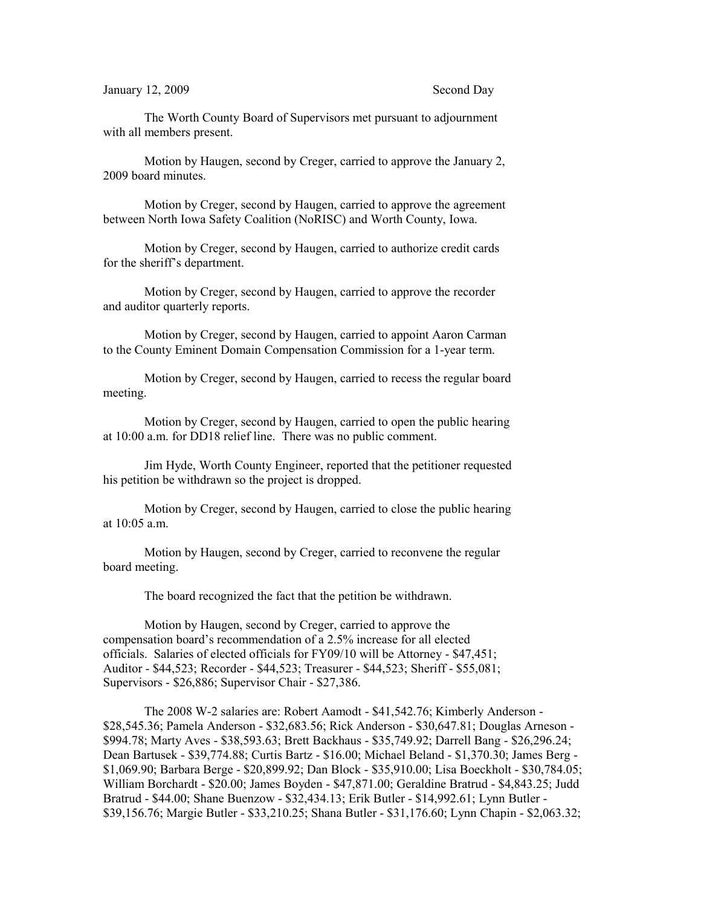The Worth County Board of Supervisors met pursuant to adjournment with all members present.

Motion by Haugen, second by Creger, carried to approve the January 2, 2009 board minutes.

Motion by Creger, second by Haugen, carried to approve the agreement between North Iowa Safety Coalition (NoRISC) and Worth County, Iowa.

Motion by Creger, second by Haugen, carried to authorize credit cards for the sheriff's department.

Motion by Creger, second by Haugen, carried to approve the recorder and auditor quarterly reports.

Motion by Creger, second by Haugen, carried to appoint Aaron Carman to the County Eminent Domain Compensation Commission for a 1-year term.

Motion by Creger, second by Haugen, carried to recess the regular board meeting.

Motion by Creger, second by Haugen, carried to open the public hearing at 10:00 a.m. for DD18 relief line. There was no public comment.

Jim Hyde, Worth County Engineer, reported that the petitioner requested his petition be withdrawn so the project is dropped.

Motion by Creger, second by Haugen, carried to close the public hearing at 10:05 a.m.

Motion by Haugen, second by Creger, carried to reconvene the regular board meeting.

The board recognized the fact that the petition be withdrawn.

Motion by Haugen, second by Creger, carried to approve the compensation board's recommendation of a 2.5% increase for all elected officials. Salaries of elected officials for FY09/10 will be Attorney - \$47,451; Auditor - \$44,523; Recorder - \$44,523; Treasurer - \$44,523; Sheriff - \$55,081; Supervisors - \$26,886; Supervisor Chair - \$27,386.

The 2008 W-2 salaries are: Robert Aamodt - \$41,542.76; Kimberly Anderson - \$28,545.36; Pamela Anderson - \$32,683.56; Rick Anderson - \$30,647.81; Douglas Arneson - \$994.78; Marty Aves - \$38,593.63; Brett Backhaus - \$35,749.92; Darrell Bang - \$26,296.24; Dean Bartusek - \$39,774.88; Curtis Bartz - \$16.00; Michael Beland - \$1,370.30; James Berg - \$1,069.90; Barbara Berge - \$20,899.92; Dan Block - \$35,910.00; Lisa Boeckholt - \$30,784.05; William Borchardt - \$20.00; James Boyden - \$47,871.00; Geraldine Bratrud - \$4,843.25; Judd Bratrud - \$44.00; Shane Buenzow - \$32,434.13; Erik Butler - \$14,992.61; Lynn Butler - \$39,156.76; Margie Butler - \$33,210.25; Shana Butler - \$31,176.60; Lynn Chapin - \$2,063.32;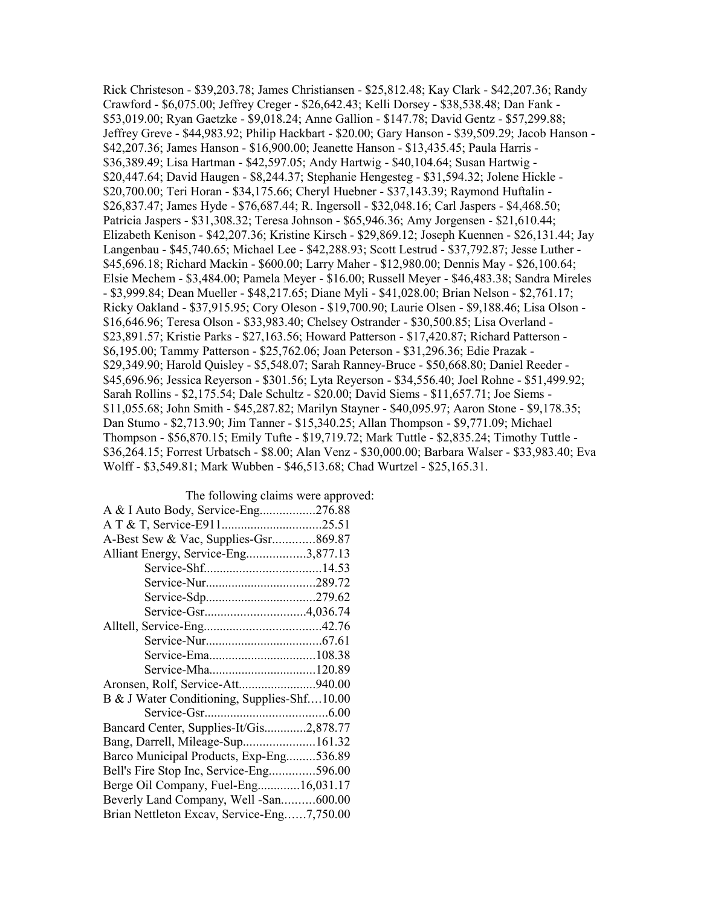Rick Christeson - \$39,203.78; James Christiansen - \$25,812.48; Kay Clark - \$42,207.36; Randy Crawford - \$6,075.00; Jeffrey Creger - \$26,642.43; Kelli Dorsey - \$38,538.48; Dan Fank - \$53,019.00; Ryan Gaetzke - \$9,018.24; Anne Gallion - \$147.78; David Gentz - \$57,299.88; Jeffrey Greve - \$44,983.92; Philip Hackbart - \$20.00; Gary Hanson - \$39,509.29; Jacob Hanson - \$42,207.36; James Hanson - \$16,900.00; Jeanette Hanson - \$13,435.45; Paula Harris - \$36,389.49; Lisa Hartman - \$42,597.05; Andy Hartwig - \$40,104.64; Susan Hartwig - \$20,447.64; David Haugen - \$8,244.37; Stephanie Hengesteg - \$31,594.32; Jolene Hickle - \$20,700.00; Teri Horan - \$34,175.66; Cheryl Huebner - \$37,143.39; Raymond Huftalin - \$26,837.47; James Hyde - \$76,687.44; R. Ingersoll - \$32,048.16; Carl Jaspers - \$4,468.50; Patricia Jaspers - \$31,308.32; Teresa Johnson - \$65,946.36; Amy Jorgensen - \$21,610.44; Elizabeth Kenison - \$42,207.36; Kristine Kirsch - \$29,869.12; Joseph Kuennen - \$26,131.44; Jay Langenbau - \$45,740.65; Michael Lee - \$42,288.93; Scott Lestrud - \$37,792.87; Jesse Luther - \$45,696.18; Richard Mackin - \$600.00; Larry Maher - \$12,980.00; Dennis May - \$26,100.64; Elsie Mechem - \$3,484.00; Pamela Meyer - \$16.00; Russell Meyer - \$46,483.38; Sandra Mireles - \$3,999.84; Dean Mueller - \$48,217.65; Diane Myli - \$41,028.00; Brian Nelson - \$2,761.17; Ricky Oakland - \$37,915.95; Cory Oleson - \$19,700.90; Laurie Olsen - \$9,188.46; Lisa Olson - \$16,646.96; Teresa Olson - \$33,983.40; Chelsey Ostrander - \$30,500.85; Lisa Overland - \$23,891.57; Kristie Parks - \$27,163.56; Howard Patterson - \$17,420.87; Richard Patterson - \$6,195.00; Tammy Patterson - \$25,762.06; Joan Peterson - \$31,296.36; Edie Prazak - \$29,349.90; Harold Quisley - \$5,548.07; Sarah Ranney-Bruce - \$50,668.80; Daniel Reeder - \$45,696.96; Jessica Reyerson - \$301.56; Lyta Reyerson - \$34,556.40; Joel Rohne - \$51,499.92; Sarah Rollins - \$2,175.54; Dale Schultz - \$20.00; David Siems - \$11,657.71; Joe Siems - \$11,055.68; John Smith - \$45,287.82; Marilyn Stayner - \$40,095.97; Aaron Stone - \$9,178.35; Dan Stumo - \$2,713.90; Jim Tanner - \$15,340.25; Allan Thompson - \$9,771.09; Michael Thompson - \$56,870.15; Emily Tufte - \$19,719.72; Mark Tuttle - \$2,835.24; Timothy Tuttle - \$36,264.15; Forrest Urbatsch - \$8.00; Alan Venz - \$30,000.00; Barbara Walser - \$33,983.40; Eva Wolff - \$3,549.81; Mark Wubben - \$46,513.68; Chad Wurtzel - \$25,165.31.

The following claims were approved:

| A & I Auto Body, Service-Eng276.88          |  |
|---------------------------------------------|--|
|                                             |  |
| A-Best Sew & Vac, Supplies-Gsr869.87        |  |
| Alliant Energy, Service-Eng3,877.13         |  |
|                                             |  |
|                                             |  |
|                                             |  |
|                                             |  |
|                                             |  |
|                                             |  |
|                                             |  |
|                                             |  |
| Aronsen, Rolf, Service-Att940.00            |  |
| B & J Water Conditioning, Supplies-Shf10.00 |  |
|                                             |  |
| Bancard Center, Supplies-It/Gis2,878.77     |  |
|                                             |  |
| Barco Municipal Products, Exp-Eng536.89     |  |
| Bell's Fire Stop Inc, Service-Eng596.00     |  |
| Berge Oil Company, Fuel-Eng16,031.17        |  |
| Beverly Land Company, Well -San600.00       |  |
| Brian Nettleton Excav, Service-Eng7,750.00  |  |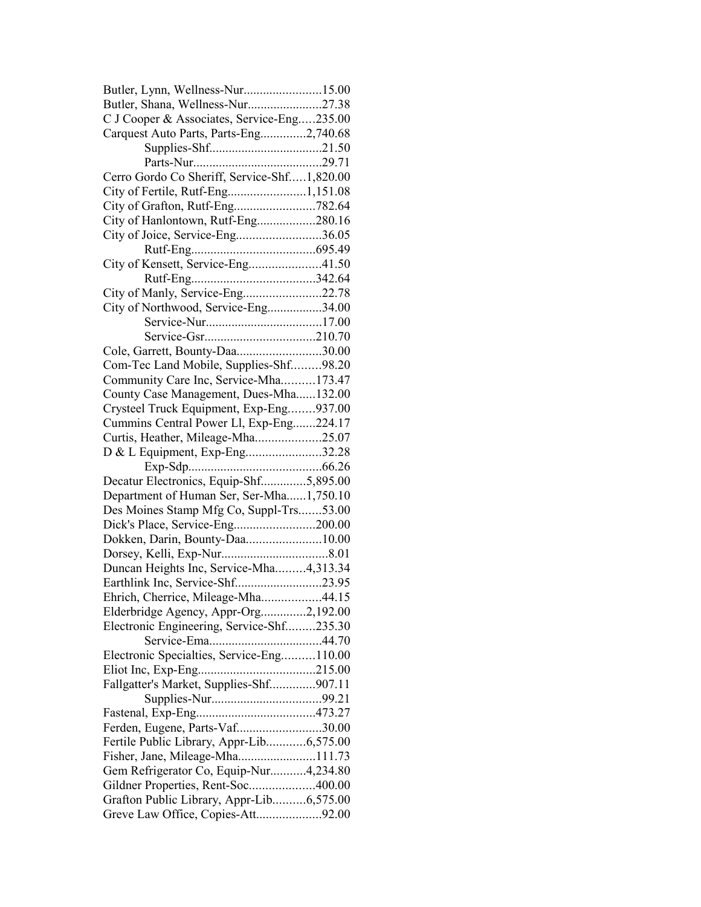| Butler, Lynn, Wellness-Nur15.00                                               |  |
|-------------------------------------------------------------------------------|--|
| Butler, Shana, Wellness-Nur27.38                                              |  |
| C J Cooper & Associates, Service-Eng235.00                                    |  |
| Carquest Auto Parts, Parts-Eng2,740.68                                        |  |
|                                                                               |  |
|                                                                               |  |
| Cerro Gordo Co Sheriff, Service-Shf1,820.00                                   |  |
| City of Fertile, Rutf-Eng1,151.08                                             |  |
|                                                                               |  |
| City of Hanlontown, Rutf-Eng280.16                                            |  |
| City of Joice, Service-Eng36.05                                               |  |
|                                                                               |  |
| City of Kensett, Service-Eng41.50                                             |  |
|                                                                               |  |
| City of Manly, Service-Eng22.78                                               |  |
| City of Northwood, Service-Eng34.00                                           |  |
|                                                                               |  |
|                                                                               |  |
| Cole, Garrett, Bounty-Daa30.00                                                |  |
| Com-Tec Land Mobile, Supplies-Shf98.20                                        |  |
|                                                                               |  |
| Community Care Inc, Service-Mha173.47                                         |  |
| County Case Management, Dues-Mha132.00                                        |  |
| Crysteel Truck Equipment, Exp-Eng937.00                                       |  |
| Cummins Central Power Ll, Exp-Eng224.17                                       |  |
| Curtis, Heather, Mileage-Mha25.07                                             |  |
|                                                                               |  |
| D & L Equipment, Exp-Eng32.28                                                 |  |
|                                                                               |  |
| Decatur Electronics, Equip-Shf5,895.00                                        |  |
| Department of Human Ser, Ser-Mha1,750.10                                      |  |
| Des Moines Stamp Mfg Co, Suppl-Trs53.00                                       |  |
| Dick's Place, Service-Eng200.00                                               |  |
| Dokken, Darin, Bounty-Daa10.00                                                |  |
|                                                                               |  |
| Duncan Heights Inc, Service-Mha4,313.34                                       |  |
| Earthlink Inc, Service-Shf23.95                                               |  |
| Ehrich, Cherrice, Mileage-Mha44.15                                            |  |
| Elderbridge Agency, Appr-Org2,192.00                                          |  |
| Electronic Engineering, Service-Shf235.30                                     |  |
|                                                                               |  |
| Electronic Specialties, Service-Eng110.00                                     |  |
|                                                                               |  |
| Fallgatter's Market, Supplies-Shf907.11                                       |  |
|                                                                               |  |
|                                                                               |  |
| Ferden, Eugene, Parts-Vaf30.00                                                |  |
| Fertile Public Library, Appr-Lib6,575.00                                      |  |
| Fisher, Jane, Mileage-Mha111.73                                               |  |
| Gem Refrigerator Co, Equip-Nur4,234.80                                        |  |
| Gildner Properties, Rent-Soc400.00                                            |  |
| Grafton Public Library, Appr-Lib6,575.00<br>Greve Law Office, Copies-Att92.00 |  |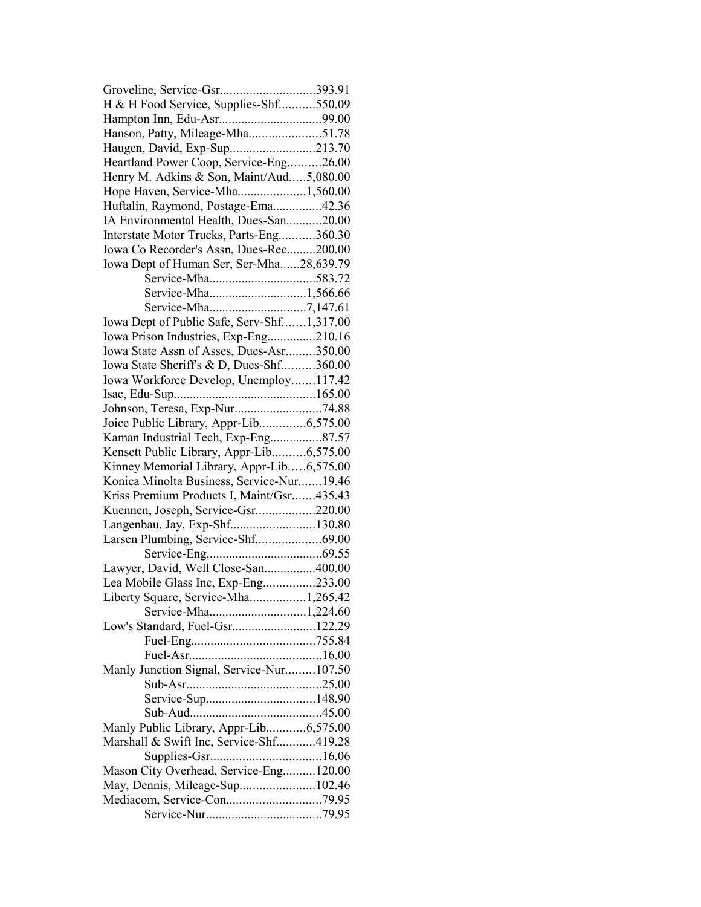| Groveline, Service-Gsr393.91               |  |
|--------------------------------------------|--|
| H & H Food Service, Supplies-Shf550.09     |  |
|                                            |  |
| Hanson, Patty, Mileage-Mha51.78            |  |
| Haugen, David, Exp-Sup213.70               |  |
| Heartland Power Coop, Service-Eng26.00     |  |
| Henry M. Adkins & Son, Maint/Aud5,080.00   |  |
| Hope Haven, Service-Mha1,560.00            |  |
| Huftalin, Raymond, Postage-Ema42.36        |  |
| IA Environmental Health, Dues-San20.00     |  |
| Interstate Motor Trucks, Parts-Eng360.30   |  |
| Iowa Co Recorder's Assn, Dues-Rec200.00    |  |
| Iowa Dept of Human Ser, Ser-Mha28,639.79   |  |
|                                            |  |
|                                            |  |
|                                            |  |
| Iowa Dept of Public Safe, Serv-Shf1,317.00 |  |
| Iowa Prison Industries, Exp-Eng210.16      |  |
| Iowa State Assn of Asses, Dues-Asr350.00   |  |
| Iowa State Sheriff's & D, Dues-Shf360.00   |  |
| Iowa Workforce Develop, Unemploy117.42     |  |
|                                            |  |
|                                            |  |
| Joice Public Library, Appr-Lib6,575.00     |  |
| Kaman Industrial Tech, Exp-Eng87.57        |  |
| Kensett Public Library, Appr-Lib6,575.00   |  |
| Kinney Memorial Library, Appr-Lib6,575.00  |  |
| Konica Minolta Business, Service-Nur19.46  |  |
| Kriss Premium Products I, Maint/Gsr435.43  |  |
| Kuennen, Joseph, Service-Gsr220.00         |  |
|                                            |  |
| Langenbau, Jay, Exp-Shf130.80              |  |
|                                            |  |
| Lawyer, David, Well Close-San400.00        |  |
| Lea Mobile Glass Inc, Exp-Eng233.00        |  |
| Liberty Square, Service-Mha1,265.42        |  |
| Service-Mha1,224.60                        |  |
| Low's Standard, Fuel-Gsr122.29             |  |
|                                            |  |
|                                            |  |
| Manly Junction Signal, Service-Nur107.50   |  |
|                                            |  |
|                                            |  |
|                                            |  |
|                                            |  |
| Manly Public Library, Appr-Lib6,575.00     |  |
| Marshall & Swift Inc, Service-Shf419.28    |  |
|                                            |  |
| Mason City Overhead, Service-Eng120.00     |  |
| May, Dennis, Mileage-Sup102.46             |  |
|                                            |  |
|                                            |  |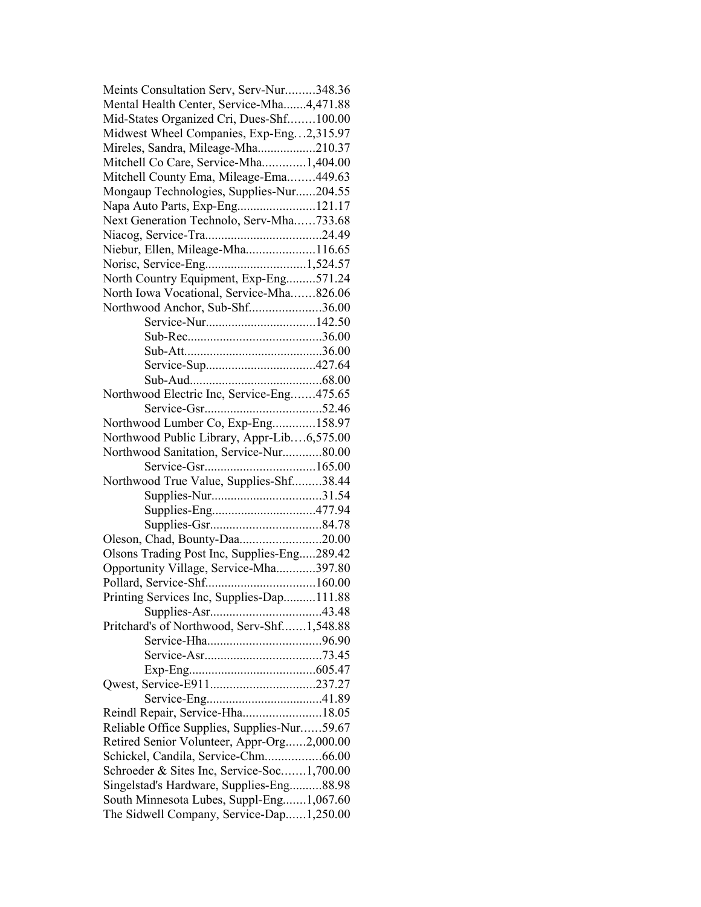| Meints Consultation Serv, Serv-Nur348.36    |  |
|---------------------------------------------|--|
| Mental Health Center, Service-Mha4,471.88   |  |
| Mid-States Organized Cri, Dues-Shf100.00    |  |
| Midwest Wheel Companies, Exp-Eng2,315.97    |  |
| Mireles, Sandra, Mileage-Mha210.37          |  |
| Mitchell Co Care, Service-Mha1,404.00       |  |
| Mitchell County Ema, Mileage-Ema449.63      |  |
| Mongaup Technologies, Supplies-Nur204.55    |  |
| Napa Auto Parts, Exp-Eng121.17              |  |
| Next Generation Technolo, Serv-Mha733.68    |  |
|                                             |  |
| Niebur, Ellen, Mileage-Mha116.65            |  |
| Norisc, Service-Eng1,524.57                 |  |
| North Country Equipment, Exp-Eng571.24      |  |
| North Iowa Vocational, Service-Mha826.06    |  |
| Northwood Anchor, Sub-Shf36.00              |  |
|                                             |  |
|                                             |  |
|                                             |  |
|                                             |  |
|                                             |  |
|                                             |  |
| Northwood Electric Inc, Service-Eng475.65   |  |
|                                             |  |
| Northwood Lumber Co, Exp-Eng158.97          |  |
| Northwood Public Library, Appr-Lib6,575.00  |  |
| Northwood Sanitation, Service-Nur80.00      |  |
|                                             |  |
| Northwood True Value, Supplies-Shf38.44     |  |
|                                             |  |
|                                             |  |
|                                             |  |
| Oleson, Chad, Bounty-Daa20.00               |  |
| Olsons Trading Post Inc, Supplies-Eng289.42 |  |
| Opportunity Village, Service-Mha397.80      |  |
|                                             |  |
| Printing Services Inc, Supplies-Dap111.88   |  |
|                                             |  |
| Pritchard's of Northwood, Serv-Shf1,548.88  |  |
|                                             |  |
|                                             |  |
|                                             |  |
|                                             |  |
|                                             |  |
| Reindl Repair, Service-Hha18.05             |  |
| Reliable Office Supplies, Supplies-Nur59.67 |  |
| Retired Senior Volunteer, Appr-Org2,000.00  |  |
| Schickel, Candila, Service-Chm66.00         |  |
|                                             |  |
| Schroeder & Sites Inc, Service-Soc1,700.00  |  |
| Singelstad's Hardware, Supplies-Eng88.98    |  |
| South Minnesota Lubes, Suppl-Eng1,067.60    |  |
| The Sidwell Company, Service-Dap1,250.00    |  |